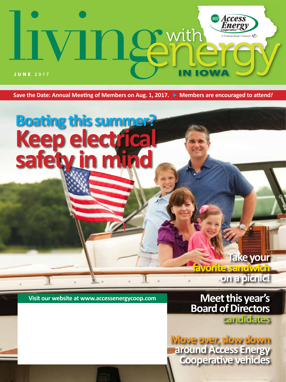

Save the Date: Annual Meeting of Members on Aug. 1, 2017. ▶ Members are encouraged to attend*!* 

# **Boating this summer? Keep electrical safety in mind**

**Meet this year's Board of Directors**

**favorite sandwich** 

**Visit our website at www.accessenergycoop.com**

**candidates**

**on a picnic!**

**Take your** 

**Move over, slow down around Access Energy Cooperative vehicles**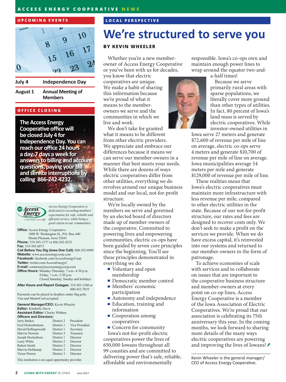#### **ACCESS ENERGY COOPERATIVE NEWS**

#### **UPCOMING EVENTS**



**Independence Day** 

**August 1 Annual Meeting of Members** 

#### **OFFICE CLOSING**

July 4

**The Access Energy Cooperative office will be closed July 4 for Independence Day. You can reach our office 24 hours a day, 7 days a week for answers to billing and account questions, paying your bill and service interruptions by calling 866-242-4232.**



*Access Energy Cooperative is dedicated to exceeding members' expectations for safe, reliable and efficient service, while being a good citizen in our communities.*

**Office:** Access Energy Cooperative 1800 W. Washington St., P.O. Box 440 Mount Pleasant, Iowa 52641 **Phone:** 319-385-1577 or 866-242-4232 **Fax:** 319-385-6873 **Call Before You Dig (Iowa One Call):** 800-292-8989 **Website:** www.accessenergycoop.com **Facebook:** facebook.com/AccessEnergyCoop **Twitter:** twitter.com/AccessEnergyC **E-mail:** contactus@accessenergycoop.com **Office Hours:** Monday-Thursday, 7 a.m.-4:30 p.m. Friday, 7 a.m.-3:30 p.m. Closed Saturday, Sunday and holidays

**After Hours and Report Outages:** 319-385-1580 or 800-452-7819

Payments can be placed in dropbox under flag pole. Visa and MasterCard accepted.

| <b>General Manager/CEO:</b> Kevin Wheeler<br><b>Editor:</b> Kimberly Davis<br><b>Assistant Editor:</b> Cherity Wibben<br><b>Officers and Directors:</b> |            |           |                          |            |                       |
|---------------------------------------------------------------------------------------------------------------------------------------------------------|------------|-----------|--------------------------|------------|-----------------------|
|                                                                                                                                                         |            |           | Jerry Barker             | District 2 | President             |
|                                                                                                                                                         |            |           | <b>Fred Hickenbottom</b> | District 1 | <b>Vice President</b> |
|                                                                                                                                                         |            |           | David Hollingsworth      | District 1 | Secretary             |
| Marvin Newton                                                                                                                                           | District 3 | Treasurer |                          |            |                       |
| Joseph Heckethorn                                                                                                                                       | District 1 | Director  |                          |            |                       |
| Larry White                                                                                                                                             | District 2 | Director  |                          |            |                       |
| Robert Smith                                                                                                                                            | District 2 | Director  |                          |            |                       |
| Marvin Holtkamp                                                                                                                                         | District 3 | Director  |                          |            |                       |
| Victor Pierrot                                                                                                                                          | District 3 | Director  |                          |            |                       |
|                                                                                                                                                         |            |           |                          |            |                       |

This institution is an equal opportunity provider.

#### **LOCAL PERSPECTIVE**

# **We're structured to serve you**

#### **BY KEVIN WHEELER**

Whether you're a new memberowner of Access Energy Cooperative or you've been with us for decades,

you know that electric cooperatives are unique. We make a habit of sharing this information because we're proud of what it means to the memberowners we serve and the communities in which we live and work.

We don't take for granted what it means to be different from other electric providers. We appreciate and embrace our differences because it means we can serve our member-owners in a manner that best meets your needs. While there are dozens of ways electric cooperatives differ from other utilities, everything we do revolves around our unique business model and our local, not-for-profit structure.

We're locally owned by the members we serve and governed by an elected board of directors made up of member-owners of the cooperative. Committed to powering lives and empowering communities, electric co-ops have been guided by seven core principles since the beginning. You'll see these principles demonstrated in everything we do:

- Voluntary and open membership
- Democratic member control
- Members' economic participation
- **Autonomy and independence**
- Education, training and information
- Cooperation among cooperatives
- Concern for community

Iowa's not-for-profit electric cooperatives power the lives of 650,000 Iowans throughout all 99 counties and are committed to delivering power that's safe, reliable, affordable and environmentally

responsible. Iowa's co-ops own and maintain enough power lines to wrap around the equator two-anda-half times!



Because we serve primarily rural areas with sparse populations, we literally cover more ground than other types of utilities. In fact, 80 percent of Iowa's land mass is served by electric cooperatives. While investor-owned utilities in

Iowa serve 27 meters and generate \$72,600 of revenue per mile of line on average, electric co-ops serve 4 meters and generate \$10,700 of revenue per mile of line on average. Iowa municipalities average 54 meters per mile and generate \$129,000 of revenue per mile of line.

These realities mean that Iowa's electric cooperatives must maintain more infrastructure with less revenue per mile, compared to other electric utilities in the state. Because of our not-for-profit structure, our rates and fees are designed to recover costs only. We don't seek to make a profit on the services we provide. When we do have excess capital, it's reinvested into our systems and returned to our member-owners in the form of patronage.

To achieve economies of scale with services and to collaborate on issues that are important to the cooperative business structure and member-owners at every point on co-op lines, Access Energy Cooperative is a member of the Iowa Association of Electric Cooperatives. We're proud that our association is celebrating its 75th anniversary this year. In the coming months, we look forward to sharing more details of the many ways electric cooperatives are powering and improving the lives of Iowans! *≸* 

Kevin Wheeler is the general manager/ CEO of Access Energy Cooperative.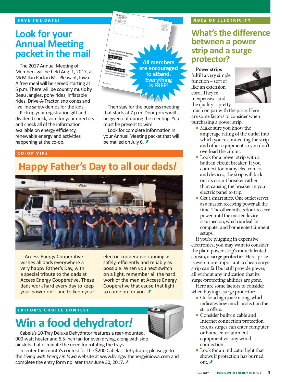### **Look for your Annual Meeting packet in the mail**

The 2017 Annual Meeting of Members will be held Aug. 1, 2017, at McMillan Park in Mt. Pleasant, Iowa. A free meal will be served starting at 5 p.m. There will be country music by Beau Jangles, pony rides, inflatable rides, Drive-A-Tractor, sno cones and live line safety demos for the kids.

Pick up your registration gift and dividend check, vote for your directors and check all of the information available on energy efficiency, renewable energy and activities happening at the co-op.



Then stay for the business meeting that starts at 7 p.m. Door prizes will be given out during the meeting. You must be present to win!

Look for complete information in your Annual Meeting packet that will be mailed on July 6. **₹** 

#### **CO-OP VIP s**

### **Happy Father's Day to all our dads***!*



Access Energy Cooperative wishes all dads everywhere a very happy Father's Day, with a special tribute to the dads at Access Energy Cooperative. These dads work hard every day to keep your power on – and to keep your electric cooperative running as safely, efficiently and reliably as possible. When you next switch on a light, remember all the hard work of the men at Access Energy Cooperative that cause that light to come on for you. *₹* 

#### **EDITOR'S CHOICE CONTEST**

## **Win a food dehydrator***!*



Cabela's 10-Tray Deluxe Dehydrator features a rear-mounted, 900-watt heater and 6.5-inch fan for even drying, along with side air slots that eliminate the need for rotating the trays.

To enter this month's contest for the \$200 Cabela's dehydrator, please go to the *Living with Energy in Iowa* website at www.livingwithenergyiniowa.com and complete the entry form no later than June 30, 2017. ₺

#### **ABC s OF ELECTRICITY**

### **What's the difference between a power strip and a surge protector?**

#### **Power strips**

fulfill a very simple function – sort of like an extension cord. They're inexpensive, and the quality is pretty



much on par with the price. Here are some factors to consider when purchasing a power strip:

- Make sure you know the amperage rating of the outlet into which you're connecting the strip and other equipment so you don't overload the circuit.
- **Look** for a power strip with a built-in circuit breaker. If you connect too many electronics and devices, the strip will kick out its circuit breaker rather than causing the breaker in your electric panel to trip.
- Get a smart strip. One outlet serves as a master, receiving power all the time. The other outlets don't receive power until the master device is turned on, which is ideal for computer and home entertainment setups.

If you're plugging in expensive electronics, you may want to consider the plain power strip's more talented cousin, a **surge protector**. Here, price is even more important; a cheap surge strip can fail but still provide power, all without any indication that its surge-protecting abilities are gone.

Here are some factors to consider when buying a surge protector:

- Go for a high joule rating, which indicates how much protection the strip offers.
- Consider built-in cable and Internet connection protection too, as surges can enter computer or home entertainment equipment via any wired connection.
- **Look** for an indicator light that shows if protection has burned out  $\hat{z}$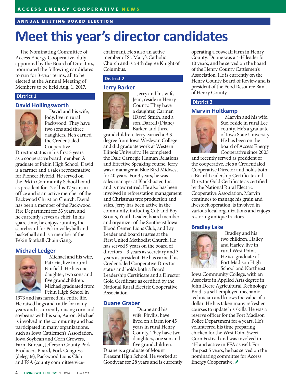#### **ANNUAL MEETING BOARD ELECTION**

# **Meet this year's director candidates**

The Nominating Committee of Access Energy Cooperative, duly appointed by the Board of Directors, nominated the following candidates to run for 3-year terms, all to be elected at the Annual Meeting of Members to be held Aug. 1, 2017.

#### **District 1**

#### **David Hollingsworth**



David and his wife, Jody, live in rural Packwood. They have two sons and three daughters. He's earned the Credentialed Cooperative

Director status in his first 3 years as a cooperative board member. A graduate of Pekin High School, David is a farmer and a sales representative for Pioneer Hybrid. He served on the Pekin Community School board as president for 12 of his 17 years in office and is an active member of the Packwood Christian Church. David has been a member of the Packwood Fire Department for 33 years, and he currently serves as chief. In his spare time, he enjoys running the scoreboard for Pekin volleyball and basketball and is a member of the Pekin football Chain Gang.

#### **Michael Ledger**



Michael and his wife, Patricia, live in rural Fairfield. He has one daughter, two sons and five grandchildren. Michael graduated from Pekin High School in

1973 and has farmed his entire life. He raised hogs and cattle for many years and is currently raising corn and soybeans with his son, Aaron. Michael is involved in the community and has participated in many organizations, such as Iowa Cattlemen's Association, Iowa Soybean and Corn Growers, Farm Bureau, Jefferson County Pork Producers Board, Pork Congress (delegate), Packwood Lions Club and FSA (county committee vicechairman). He's also an active member of St. Mary's Catholic Church and is a 4th degree Knight of Columbus.

#### **District 2**

#### **Jerry Barker**



Jerry and his wife, Jean, reside in Henry County. They have a daughter, Carmen (Dave) Smith, and a son, Darrell (Diane) Barker, and three

grandchildren. Jerry earned a B.S. degree from Iowa Wesleyan College and did graduate work at Western Illinois University. He completed the Dale Carnegie Human Relations and Effective Speaking course. Jerry was a manager at Blue Bird Midwest for 40 years. For 3 years, he was sales manager at Blockbuster, Inc., and is now retired. He also has been involved in reforestation management and Christmas tree production and sales. Jerry has been active in the community, including Cub and Boy Scouts, Youth Leader, board member and organizer of the Southeast Iowa Blood Center, Lions Club, and Lay Leader and board trustee at the First United Methodist Church. He has served 9 years on the board of directors – 3 years as secretary and 3 years as president. He has earned his Credentialed Cooperative Director status and holds both a Board Leadership Certificate and a Director Gold Certificate as certified by the National Rural Electric Cooperative Association.

#### **Duane Graber**



Duane and his wife, Phyllis, have lived on a farm for 45 years in rural Henry County. They have two daughters, one son and five grandchildren.

Duane is a graduate of Mount Pleasant High School. He worked at Goodyear for 28 years and is currently operating a cow/calf farm in Henry County. Duane was a 4-H leader for 10 years, and he served on the board of the Henry County Cattlemen's Association. He is currently on the Henry County Board of Review and is president of the Food Resource Bank of Henry County.

#### **District 3**

#### **Marvin Holtkamp**



Marvin and his wife, Sue, reside in rural Lee county. He's a graduate of Iowa State University. He has been on the board of Access Energy Cooperative since 2005

and recently served as president of the cooperative. He's a Credentialed Cooperative Director and holds both a Board Leadership Certificate and Director Gold Certificate as certified by the National Rural Electric Cooperative Association. Marvin continues to manage his grain and livestock operation, is involved in various local organizations and enjoys restoring antique tractors.

#### **Bradley Lake**



Bradley and his two children, Hailey and Harley, live in rural West Point. He is a graduate of Fort Madison High School and Northeast

Iowa Community College, with an Associate in Applied Arts degree in John Deere Agricultural Technology. Brad is a self-employed mechanictechnician and knows the value of a dollar. He has taken many refresher courses to update his skills. He was a reserve officer for the Fort Madison Police Department for 4 years. He's volunteered his time preparing chicken for the West Point Sweet Corn Festival and was involved in 4H and active in FFA as well. For the past 5 years, he has served on the nominating committee for Access Energy Cooperative. *₹*